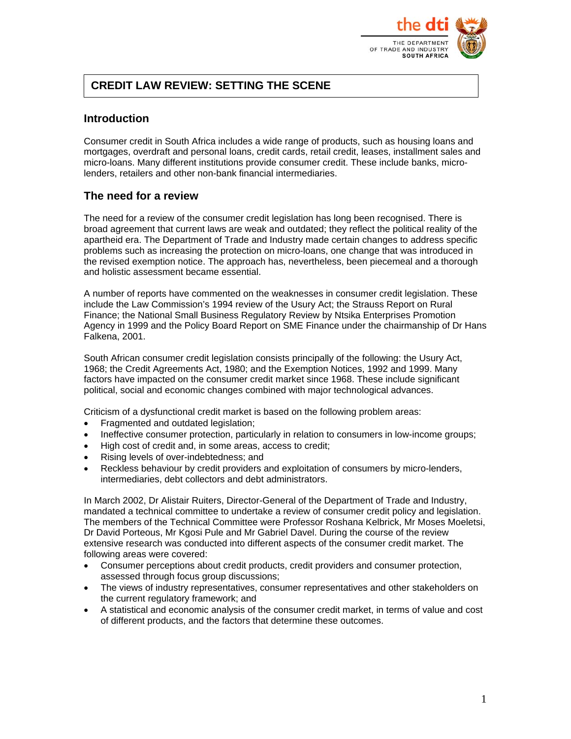

# **CREDIT LAW REVIEW: SETTING THE SCENE**

## **Introduction**

Consumer credit in South Africa includes a wide range of products, such as housing loans and mortgages, overdraft and personal loans, credit cards, retail credit, leases, installment sales and micro-loans. Many different institutions provide consumer credit. These include banks, microlenders, retailers and other non-bank financial intermediaries.

# **The need for a review**

The need for a review of the consumer credit legislation has long been recognised. There is broad agreement that current laws are weak and outdated; they reflect the political reality of the apartheid era. The Department of Trade and Industry made certain changes to address specific problems such as increasing the protection on micro-loans, one change that was introduced in the revised exemption notice. The approach has, nevertheless, been piecemeal and a thorough and holistic assessment became essential.

A number of reports have commented on the weaknesses in consumer credit legislation. These include the Law Commission's 1994 review of the Usury Act; the Strauss Report on Rural Finance; the National Small Business Regulatory Review by Ntsika Enterprises Promotion Agency in 1999 and the Policy Board Report on SME Finance under the chairmanship of Dr Hans Falkena, 2001.

South African consumer credit legislation consists principally of the following: the Usury Act, 1968; the Credit Agreements Act, 1980; and the Exemption Notices, 1992 and 1999. Many factors have impacted on the consumer credit market since 1968. These include significant political, social and economic changes combined with major technological advances.

Criticism of a dysfunctional credit market is based on the following problem areas:

- Fragmented and outdated legislation:
- Ineffective consumer protection, particularly in relation to consumers in low-income groups;
- High cost of credit and, in some areas, access to credit;
- Rising levels of over-indebtedness; and
- Reckless behaviour by credit providers and exploitation of consumers by micro-lenders, intermediaries, debt collectors and debt administrators.

In March 2002, Dr Alistair Ruiters, Director-General of the Department of Trade and Industry, mandated a technical committee to undertake a review of consumer credit policy and legislation. The members of the Technical Committee were Professor Roshana Kelbrick, Mr Moses Moeletsi, Dr David Porteous, Mr Kgosi Pule and Mr Gabriel Davel. During the course of the review extensive research was conducted into different aspects of the consumer credit market. The following areas were covered:

- Consumer perceptions about credit products, credit providers and consumer protection, assessed through focus group discussions;
- The views of industry representatives, consumer representatives and other stakeholders on the current regulatory framework; and
- A statistical and economic analysis of the consumer credit market, in terms of value and cost of different products, and the factors that determine these outcomes.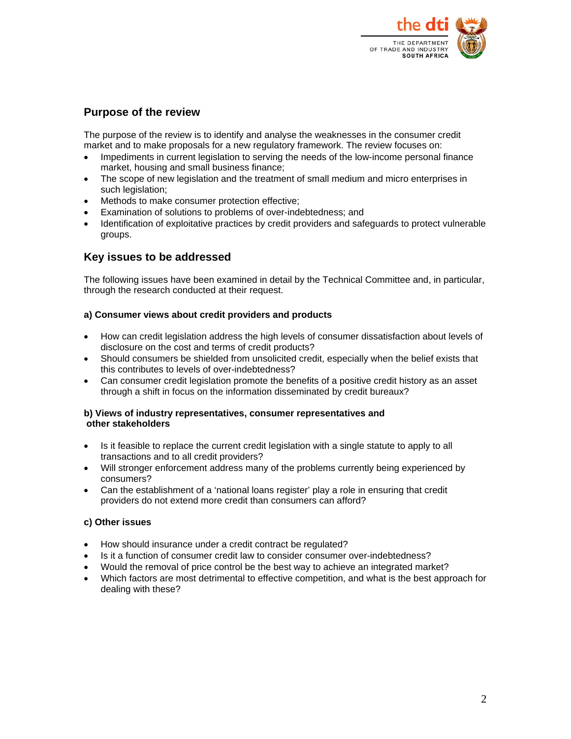

## **Purpose of the review**

The purpose of the review is to identify and analyse the weaknesses in the consumer credit market and to make proposals for a new regulatory framework. The review focuses on:

- Impediments in current legislation to serving the needs of the low-income personal finance market, housing and small business finance;
- The scope of new legislation and the treatment of small medium and micro enterprises in such legislation;
- Methods to make consumer protection effective;
- Examination of solutions to problems of over-indebtedness; and
- Identification of exploitative practices by credit providers and safeguards to protect vulnerable groups.

## **Key issues to be addressed**

The following issues have been examined in detail by the Technical Committee and, in particular, through the research conducted at their request.

### **a) Consumer views about credit providers and products**

- How can credit legislation address the high levels of consumer dissatisfaction about levels of disclosure on the cost and terms of credit products?
- Should consumers be shielded from unsolicited credit, especially when the belief exists that this contributes to levels of over-indebtedness?
- Can consumer credit legislation promote the benefits of a positive credit history as an asset through a shift in focus on the information disseminated by credit bureaux?

### **b) Views of industry representatives, consumer representatives and other stakeholders**

- Is it feasible to replace the current credit legislation with a single statute to apply to all transactions and to all credit providers?
- Will stronger enforcement address many of the problems currently being experienced by consumers?
- Can the establishment of a 'national loans register' play a role in ensuring that credit providers do not extend more credit than consumers can afford?

## **c) Other issues**

- How should insurance under a credit contract be regulated?
- Is it a function of consumer credit law to consider consumer over-indebtedness?
- Would the removal of price control be the best way to achieve an integrated market?
- Which factors are most detrimental to effective competition, and what is the best approach for dealing with these?